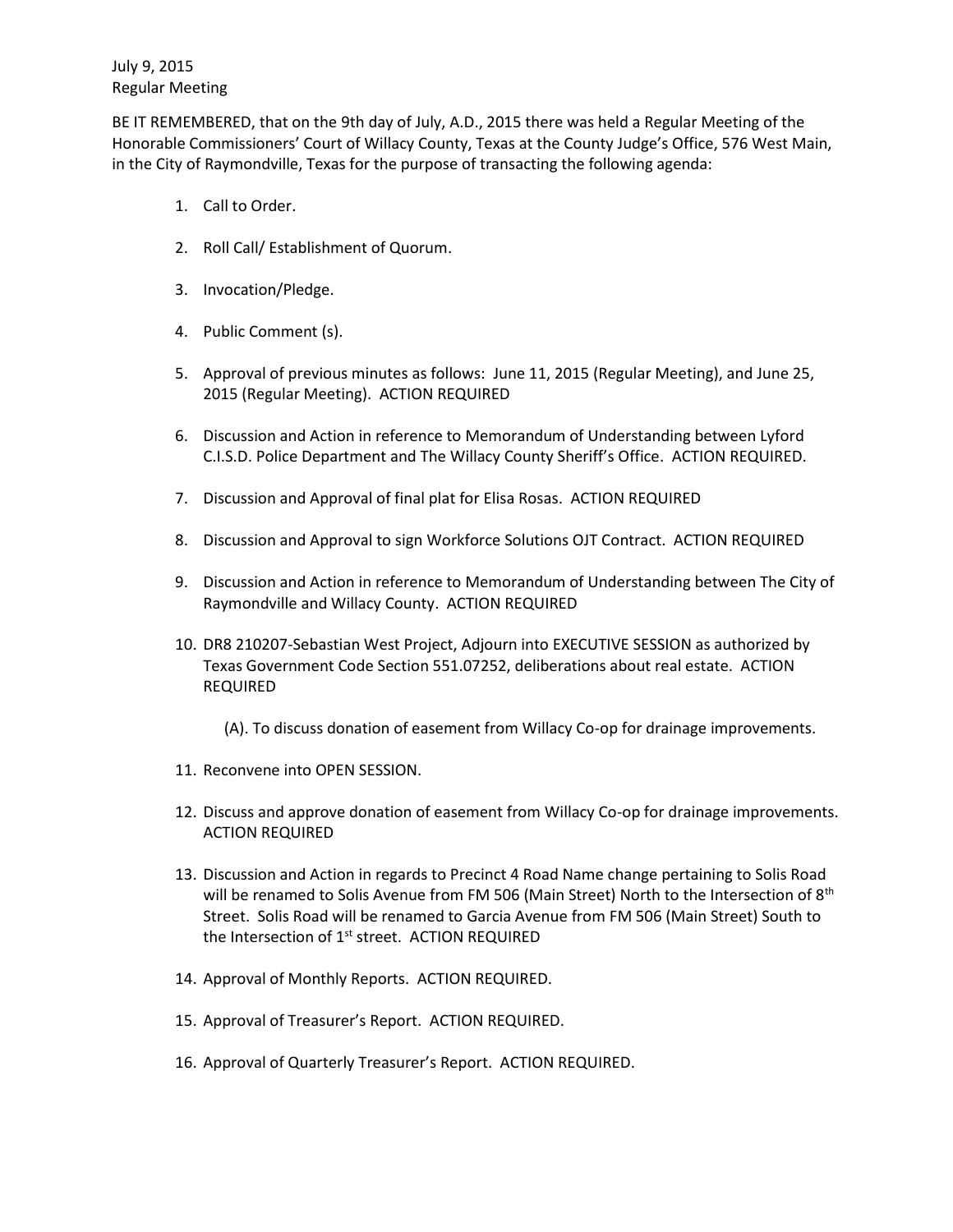July 9, 2015 Regular Meeting

BE IT REMEMBERED, that on the 9th day of July, A.D., 2015 there was held a Regular Meeting of the Honorable Commissioners' Court of Willacy County, Texas at the County Judge's Office, 576 West Main, in the City of Raymondville, Texas for the purpose of transacting the following agenda:

- 1. Call to Order.
- 2. Roll Call/ Establishment of Quorum.
- 3. Invocation/Pledge.
- 4. Public Comment (s).
- 5. Approval of previous minutes as follows: June 11, 2015 (Regular Meeting), and June 25, 2015 (Regular Meeting). ACTION REQUIRED
- 6. Discussion and Action in reference to Memorandum of Understanding between Lyford C.I.S.D. Police Department and The Willacy County Sheriff's Office. ACTION REQUIRED.
- 7. Discussion and Approval of final plat for Elisa Rosas. ACTION REQUIRED
- 8. Discussion and Approval to sign Workforce Solutions OJT Contract. ACTION REQUIRED
- 9. Discussion and Action in reference to Memorandum of Understanding between The City of Raymondville and Willacy County. ACTION REQUIRED
- 10. DR8 210207-Sebastian West Project, Adjourn into EXECUTIVE SESSION as authorized by Texas Government Code Section 551.07252, deliberations about real estate. ACTION REQUIRED
	- (A). To discuss donation of easement from Willacy Co-op for drainage improvements.
- 11. Reconvene into OPEN SESSION.
- 12. Discuss and approve donation of easement from Willacy Co-op for drainage improvements. ACTION REQUIRED
- 13. Discussion and Action in regards to Precinct 4 Road Name change pertaining to Solis Road will be renamed to Solis Avenue from FM 506 (Main Street) North to the Intersection of  $8<sup>th</sup>$ Street. Solis Road will be renamed to Garcia Avenue from FM 506 (Main Street) South to the Intersection of 1<sup>st</sup> street. ACTION REQUIRED
- 14. Approval of Monthly Reports. ACTION REQUIRED.
- 15. Approval of Treasurer's Report. ACTION REQUIRED.
- 16. Approval of Quarterly Treasurer's Report. ACTION REQUIRED.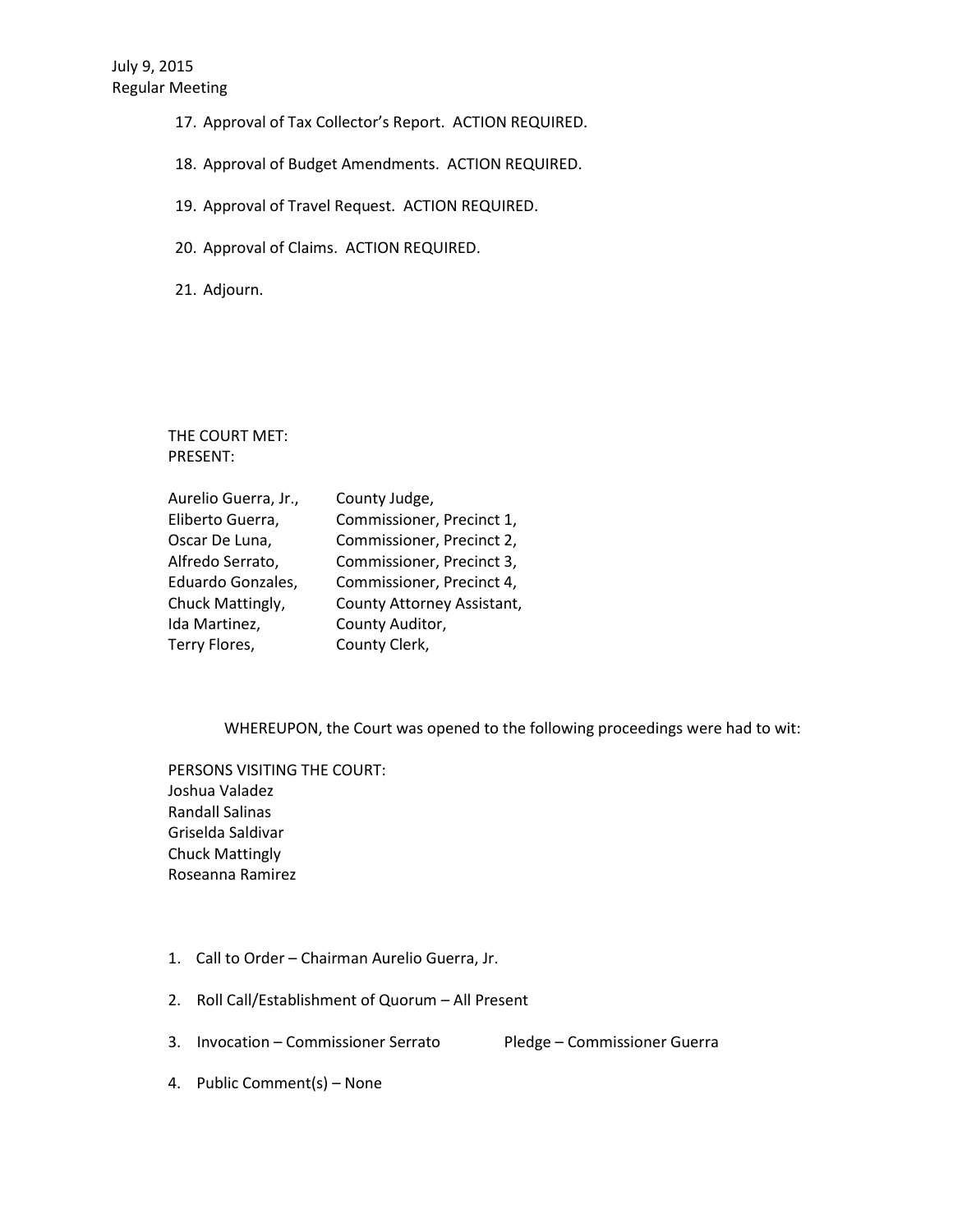- 17. Approval of Tax Collector's Report. ACTION REQUIRED.
- 18. Approval of Budget Amendments. ACTION REQUIRED.
- 19. Approval of Travel Request. ACTION REQUIRED.
- 20. Approval of Claims. ACTION REQUIRED.

21. Adjourn.

THE COURT MET: PRESENT:

| Aurelio Guerra, Jr., | County Judge,              |
|----------------------|----------------------------|
| Eliberto Guerra,     | Commissioner, Precinct 1,  |
| Oscar De Luna,       | Commissioner, Precinct 2,  |
| Alfredo Serrato,     | Commissioner, Precinct 3,  |
| Eduardo Gonzales,    | Commissioner, Precinct 4,  |
| Chuck Mattingly,     | County Attorney Assistant, |
| Ida Martinez,        | County Auditor,            |
| Terry Flores,        | County Clerk,              |

WHEREUPON, the Court was opened to the following proceedings were had to wit:

PERSONS VISITING THE COURT: Joshua Valadez Randall Salinas Griselda Saldivar Chuck Mattingly Roseanna Ramirez

- 1. Call to Order Chairman Aurelio Guerra, Jr.
- 2. Roll Call/Establishment of Quorum All Present
- 3. Invocation Commissioner Serrato Pledge Commissioner Guerra

4. Public Comment(s) – None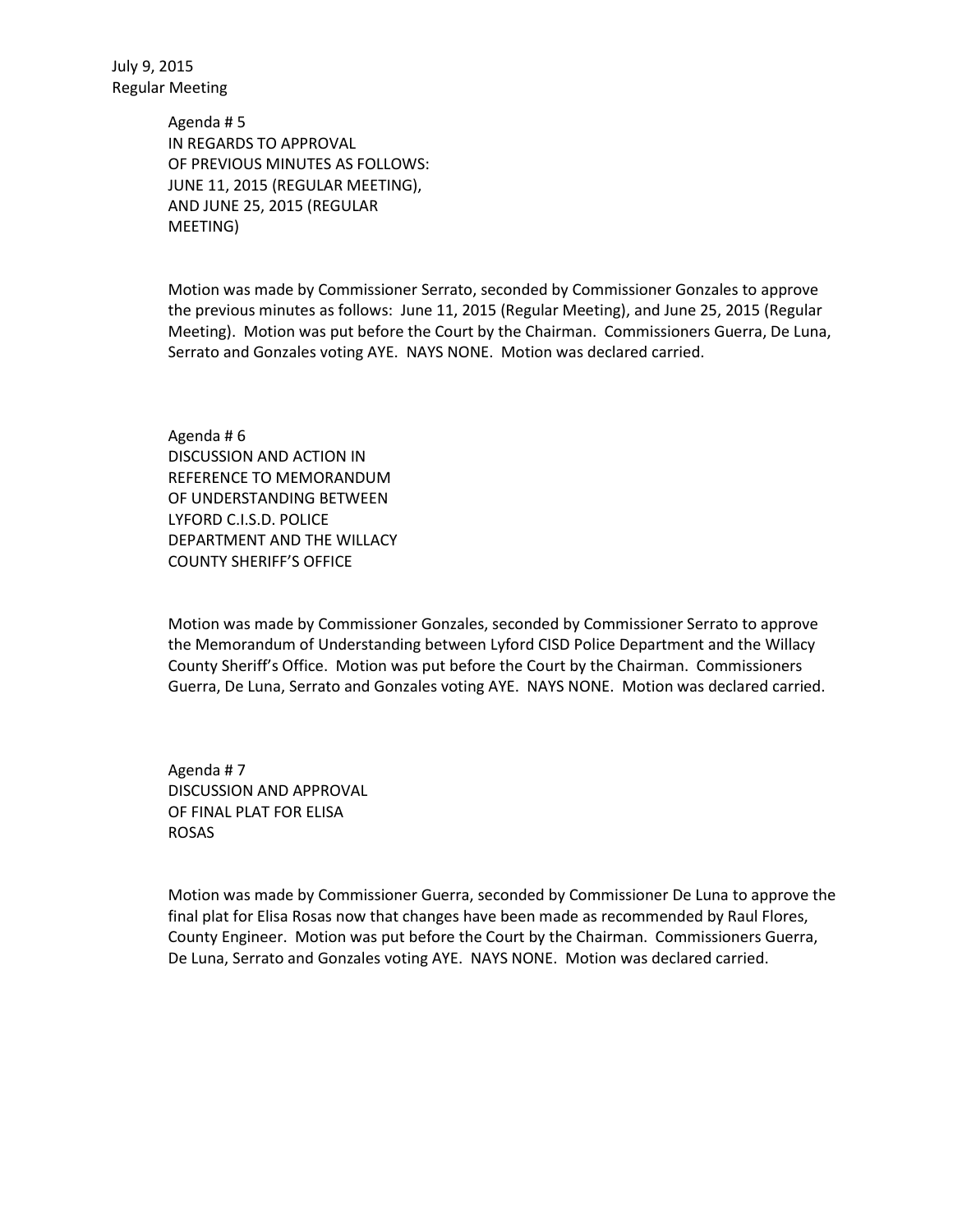July 9, 2015 Regular Meeting

> Agenda # 5 IN REGARDS TO APPROVAL OF PREVIOUS MINUTES AS FOLLOWS: JUNE 11, 2015 (REGULAR MEETING), AND JUNE 25, 2015 (REGULAR MEETING)

Motion was made by Commissioner Serrato, seconded by Commissioner Gonzales to approve the previous minutes as follows: June 11, 2015 (Regular Meeting), and June 25, 2015 (Regular Meeting). Motion was put before the Court by the Chairman. Commissioners Guerra, De Luna, Serrato and Gonzales voting AYE. NAYS NONE. Motion was declared carried.

Agenda # 6 DISCUSSION AND ACTION IN REFERENCE TO MEMORANDUM OF UNDERSTANDING BETWEEN LYFORD C.I.S.D. POLICE DEPARTMENT AND THE WILLACY COUNTY SHERIFF'S OFFICE

Motion was made by Commissioner Gonzales, seconded by Commissioner Serrato to approve the Memorandum of Understanding between Lyford CISD Police Department and the Willacy County Sheriff's Office. Motion was put before the Court by the Chairman. Commissioners Guerra, De Luna, Serrato and Gonzales voting AYE. NAYS NONE. Motion was declared carried.

Agenda # 7 DISCUSSION AND APPROVAL OF FINAL PLAT FOR ELISA ROSAS

Motion was made by Commissioner Guerra, seconded by Commissioner De Luna to approve the final plat for Elisa Rosas now that changes have been made as recommended by Raul Flores, County Engineer. Motion was put before the Court by the Chairman. Commissioners Guerra, De Luna, Serrato and Gonzales voting AYE. NAYS NONE. Motion was declared carried.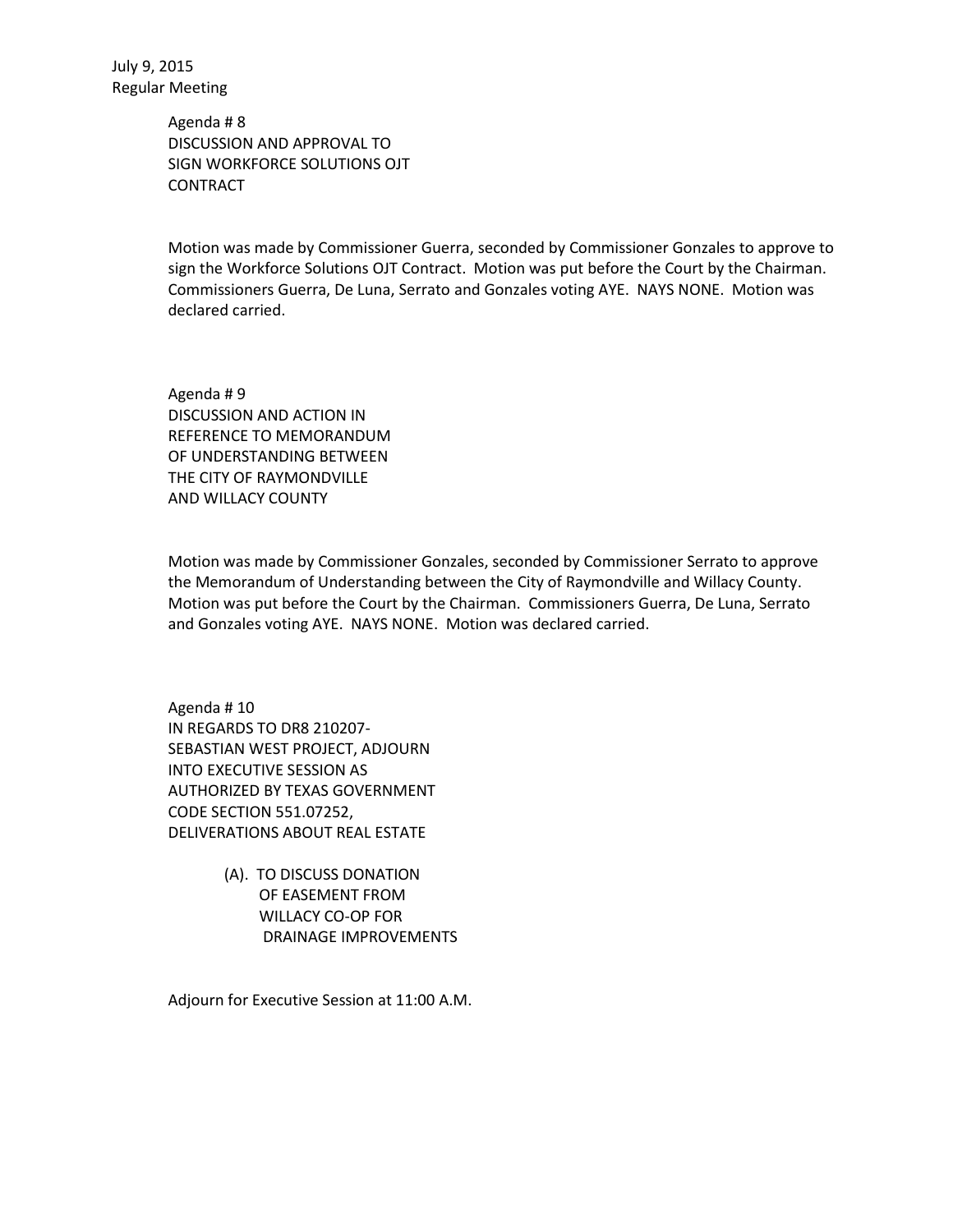Agenda # 8 DISCUSSION AND APPROVAL TO SIGN WORKFORCE SOLUTIONS OJT **CONTRACT** 

Motion was made by Commissioner Guerra, seconded by Commissioner Gonzales to approve to sign the Workforce Solutions OJT Contract. Motion was put before the Court by the Chairman. Commissioners Guerra, De Luna, Serrato and Gonzales voting AYE. NAYS NONE. Motion was declared carried.

Agenda # 9 DISCUSSION AND ACTION IN REFERENCE TO MEMORANDUM OF UNDERSTANDING BETWEEN THE CITY OF RAYMONDVILLE AND WILLACY COUNTY

Motion was made by Commissioner Gonzales, seconded by Commissioner Serrato to approve the Memorandum of Understanding between the City of Raymondville and Willacy County. Motion was put before the Court by the Chairman. Commissioners Guerra, De Luna, Serrato and Gonzales voting AYE. NAYS NONE. Motion was declared carried.

Agenda # 10 IN REGARDS TO DR8 210207- SEBASTIAN WEST PROJECT, ADJOURN INTO EXECUTIVE SESSION AS AUTHORIZED BY TEXAS GOVERNMENT CODE SECTION 551.07252, DELIVERATIONS ABOUT REAL ESTATE

> (A). TO DISCUSS DONATION OF EASEMENT FROM WILLACY CO-OP FOR DRAINAGE IMPROVEMENTS

Adjourn for Executive Session at 11:00 A.M.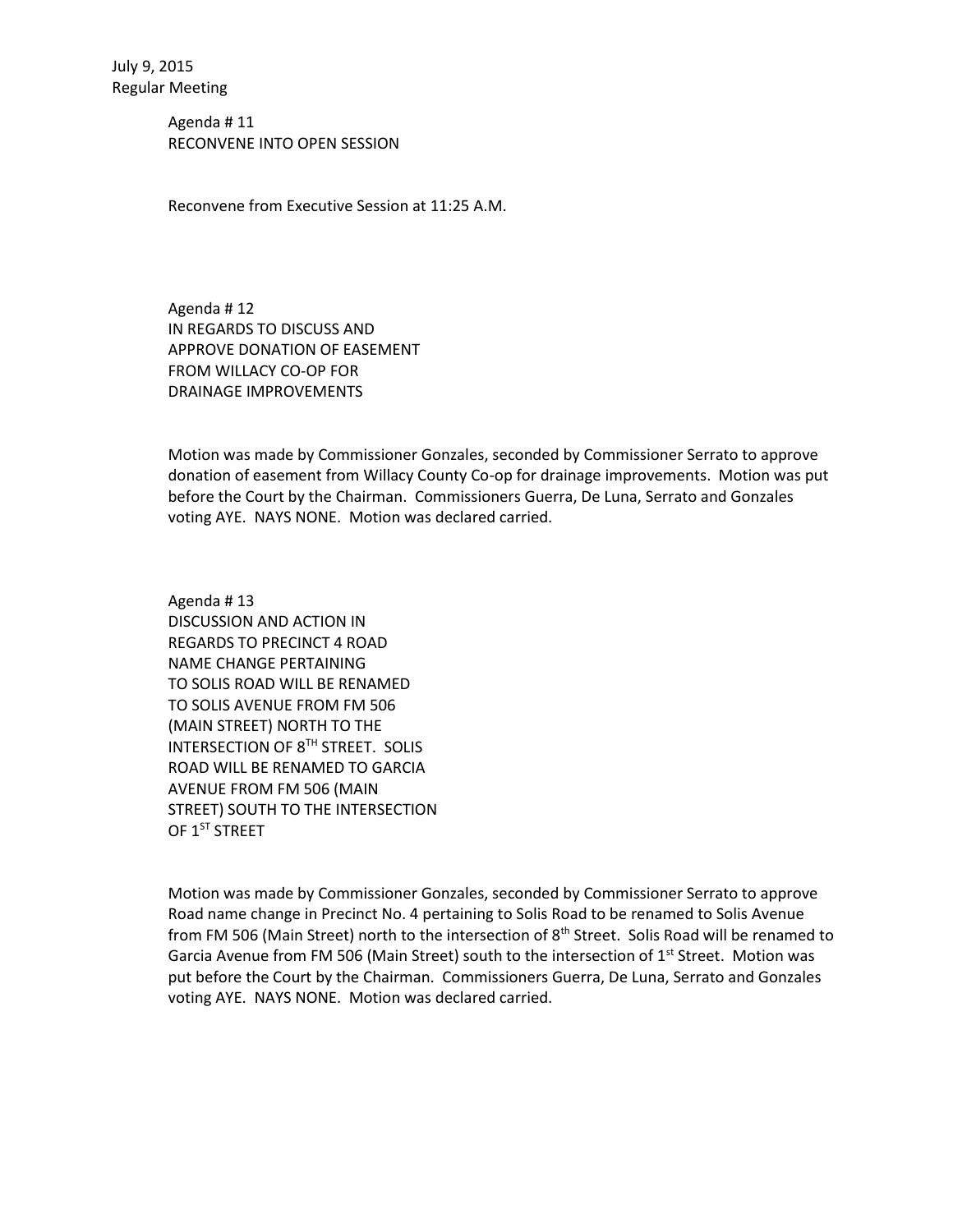Agenda # 11 RECONVENE INTO OPEN SESSION

Reconvene from Executive Session at 11:25 A.M.

Agenda # 12 IN REGARDS TO DISCUSS AND APPROVE DONATION OF EASEMENT FROM WILLACY CO-OP FOR DRAINAGE IMPROVEMENTS

Motion was made by Commissioner Gonzales, seconded by Commissioner Serrato to approve donation of easement from Willacy County Co-op for drainage improvements. Motion was put before the Court by the Chairman. Commissioners Guerra, De Luna, Serrato and Gonzales voting AYE. NAYS NONE. Motion was declared carried.

Agenda # 13 DISCUSSION AND ACTION IN REGARDS TO PRECINCT 4 ROAD NAME CHANGE PERTAINING TO SOLIS ROAD WILL BE RENAMED TO SOLIS AVENUE FROM FM 506 (MAIN STREET) NORTH TO THE INTERSECTION OF 8TH STREET. SOLIS ROAD WILL BE RENAMED TO GARCIA AVENUE FROM FM 506 (MAIN STREET) SOUTH TO THE INTERSECTION OF 1<sup>ST</sup> STREET

Motion was made by Commissioner Gonzales, seconded by Commissioner Serrato to approve Road name change in Precinct No. 4 pertaining to Solis Road to be renamed to Solis Avenue from FM 506 (Main Street) north to the intersection of  $8<sup>th</sup>$  Street. Solis Road will be renamed to Garcia Avenue from FM 506 (Main Street) south to the intersection of  $1<sup>st</sup>$  Street. Motion was put before the Court by the Chairman. Commissioners Guerra, De Luna, Serrato and Gonzales voting AYE. NAYS NONE. Motion was declared carried.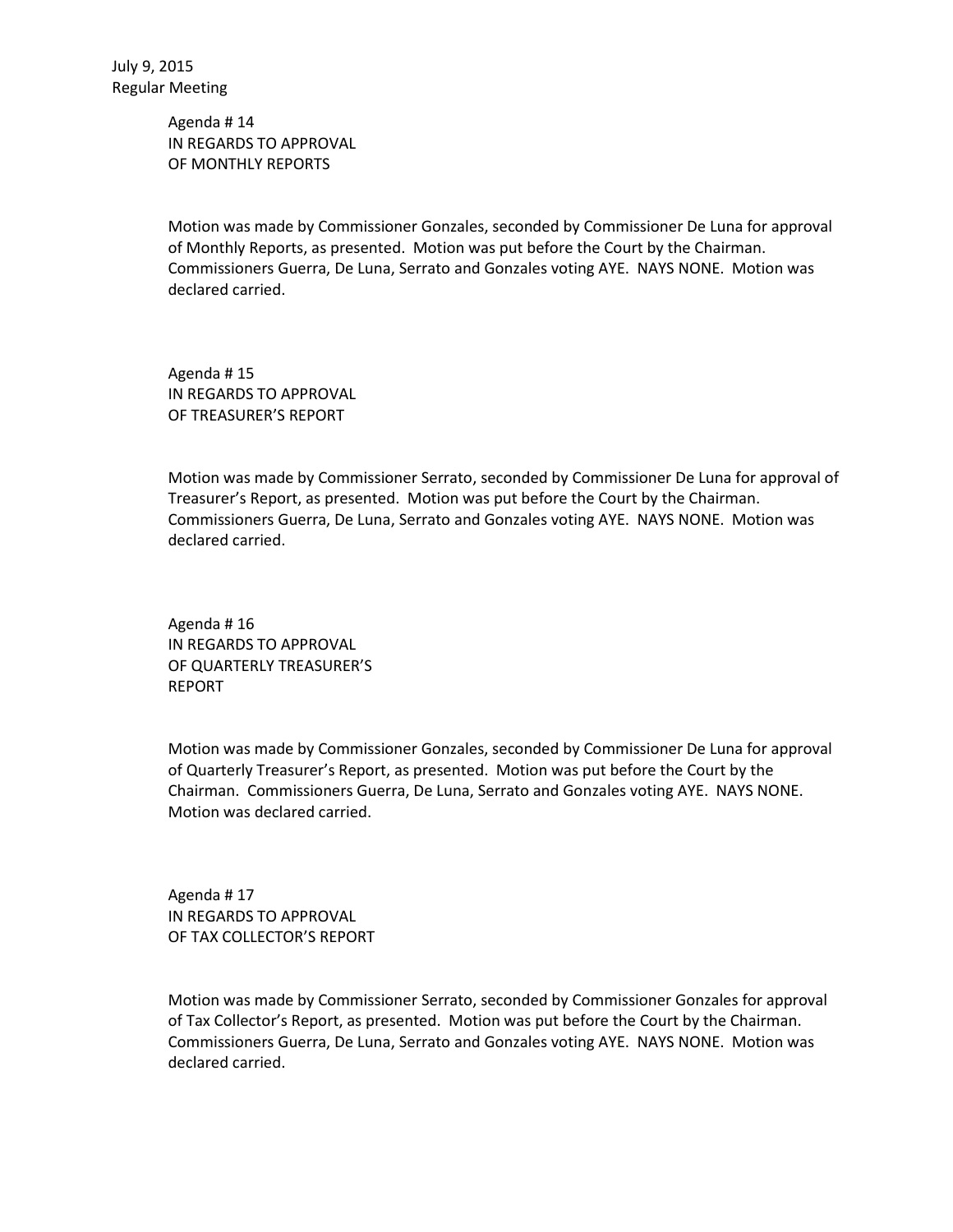Agenda # 14 IN REGARDS TO APPROVAL OF MONTHLY REPORTS

Motion was made by Commissioner Gonzales, seconded by Commissioner De Luna for approval of Monthly Reports, as presented. Motion was put before the Court by the Chairman. Commissioners Guerra, De Luna, Serrato and Gonzales voting AYE. NAYS NONE. Motion was declared carried.

Agenda # 15 IN REGARDS TO APPROVAL OF TREASURER'S REPORT

Motion was made by Commissioner Serrato, seconded by Commissioner De Luna for approval of Treasurer's Report, as presented. Motion was put before the Court by the Chairman. Commissioners Guerra, De Luna, Serrato and Gonzales voting AYE. NAYS NONE. Motion was declared carried.

Agenda # 16 IN REGARDS TO APPROVAL OF QUARTERLY TREASURER'S REPORT

Motion was made by Commissioner Gonzales, seconded by Commissioner De Luna for approval of Quarterly Treasurer's Report, as presented. Motion was put before the Court by the Chairman. Commissioners Guerra, De Luna, Serrato and Gonzales voting AYE. NAYS NONE. Motion was declared carried.

Agenda # 17 IN REGARDS TO APPROVAL OF TAX COLLECTOR'S REPORT

Motion was made by Commissioner Serrato, seconded by Commissioner Gonzales for approval of Tax Collector's Report, as presented. Motion was put before the Court by the Chairman. Commissioners Guerra, De Luna, Serrato and Gonzales voting AYE. NAYS NONE. Motion was declared carried.